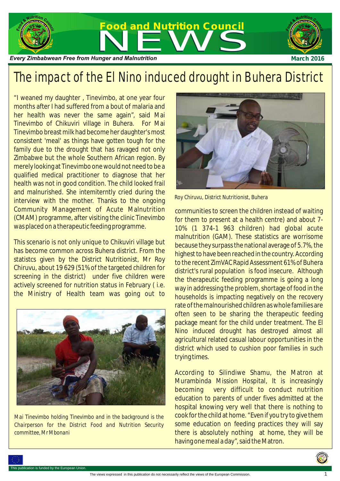

## The impact of the El Nino induced drought in Buhera District

"I weaned my daughter , Tinevimbo, at one year four months after I had suffered from a bout of malaria and her health was never the same again", said Mai Tinevimbo of Chikuviri village in Buhera. For Mai Tinevimbo breast milk had become her daughter's most consistent 'meal' as things have gotten tough for the family due to the drought that has ravaged not only Zimbabwe but the whole Southern African region. By merely looking at Tinevimbo one would not need to be a qualified medical practitioner to diagnose that her health was not in good condition. The child looked frail and malnurished. She intemiterntly cried during the interview with the mother. Thanks to the ongoing Community Management of Acute Malnutrition (CMAM) programme, after visiting the clinic Tinevimbo was placed on a therapeutic feeding programme.

This scenario is not only unique to Chikuviri village but has become common across Buhera district. From the statistcs given by the District Nutritionist, Mr Roy Chiruvu, about 19 629 (51% of the targeted children for screening in the district) under five children were actively screened for nutrition status in February ( i.e. the Ministry of Health team was going out to



*Mai Tinevimbo holding Tinevimbo and in the background is the Chairperson for the District Food and Nutrition Security committee, Mr Mbonani*



*Roy Chiruvu, District Nutritionist, Buhera*

communities to screen the children instead of waiting for them to present at a health centre) and about 7- 10% (1 374-1 963 children) had global acute malnutrition (GAM). These statistics are worrisome because they surpass the national average of 5.7%, the highest to have been reached in the country. According to the recent ZimVAC Rapid Assessment 61% of Buhera district's rural population is food insecure. Although the therapeutic feeding programme is going a long way in addressing the problem, shortage of food in the households is impacting negatively on the recovery rate of the malnourished children as whole families are often seen to be sharing the therapeutic feeding package meant for the child under treatment. The El Nino induced drought has destroyed almost all agricultural related casual labour opportunities in the district which used to cushion poor families in such trying times.

According to Silindiwe Shamu, the Matron at Murambinda Mission Hospital, It is increasingly becoming very difficult to conduct nutrition education to parents of under fives admitted at the hospital knowing very well that there is nothing to cook for the child at home. "Even if you try to give them some education on feeding practices they will say there is absolutely nothing at home, they will be having one meal a day", said the Matron.



1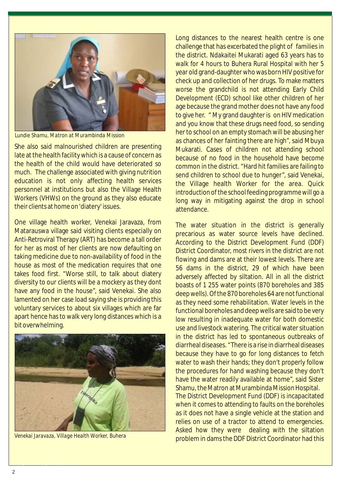

*Lundie Shamu, Matron at Murambinda Mission* 

She also said malnourished children are presenting late at the health facility which is a cause of concern as the health of the child would have deteriorated so much. The challenge associated with giving nutrition education is not only affecting health services personnel at institutions but also the Village Health Workers (VHWs) on the ground as they also educate their clients at home on 'diatery' issues.

One village health worker, Venekai Jaravaza, from Matarauswa village said visiting clients especially on Anti-Retroviral Therapy (ART) has become a tall order for her as most of her clients are now defaulting on taking medicine due to non-availability of food in the house as most of the medication requires that one takes food first. "Worse still, to talk about diatery diversity to our clients will be a mockery as they dont have any food in the house", said Venekai. She also lamented on her case load saying she is providing this voluntary services to about six villages which are far apart hence has to walk very long distances which is a bit overwhelming.



*Venekai Jaravaza, Village Health Worker, Buhera*

This project is funded by the European Union.

Long distances to the nearest health centre is one challenge that has excerbated the plight of families in the district. Ndakaitei Mukarati aged 63 years has to walk for 4 hours to Buhera Rural Hospital with her 5 year old grand-daughter who was born HIV positive for check up and collection of her drugs. To make matters worse the grandchild is not attending Early Child Development (ECD) school like other children of her age because the grand mother does not have any food to give her. " My grand daughter is on HIV medication and you know that these drugs need food, so sending her to school on an empty stomach will be abusing her as chances of her fainting there are high", said Mbuya Mukarati. Cases of children not attending school because of no food in the household have become common in the district. "Hard hit families are failing to send children to school due to hunger", said Venekai, the Village health Worker for the area. Quick introduction of the school feeding programme will go a long way in mitigating against the drop in school attendance.

The water situation in the district is generally precarious as water source levels have declined. According to the District Development Fund (DDF) District Coordinator, most rivers in the district are not flowing and dams are at their lowest levels. There are 56 dams in the district, 29 of which have been adversely affected by siltation. All in all the district boasts of 1 255 water points (870 boreholes and 385 deep wells). Of the 870 boreholes 64 are not functional as they need some rehabilitation. Water levels in the functional boreholes and deep wells are said to be very low resulting in inadequate water for both domestic use and livestock watering. The critical water situation in the district has led to spontaneous outbreaks of diarrheal diseases. "There is a rise in diarrheal diseases because they have to go for long distances to fetch water to wash their hands; they don't properly follow the procedures for hand washing because they don't have the water readily available at home", said Sister Shamu, the Matron at Murambinda Mission Hospital. The District Development Fund (DDF) is incapacitated when it comes to attending to faults on the boreholes as it does not have a single vehicle at the station and relies on use of a tractor to attend to emergencies. Asked how they were dealing with the siltation problem in dams the DDF District Coordinator had this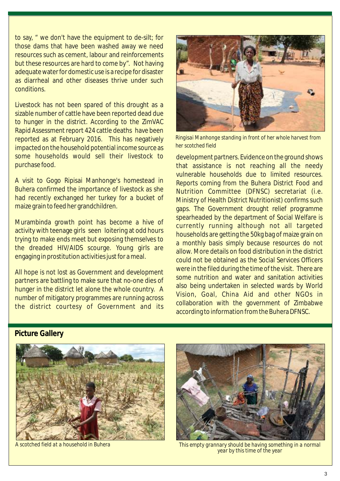to say, " we don't have the equipment to de-silt; for those dams that have been washed away we need resources such as cement, labour and reinforcements but these resources are hard to come by". Not having adequate water for domestic use is a recipe for disaster as diarrheal and other diseases thrive under such conditions.

Livestock has not been spared of this drought as a sizable number of cattle have been reported dead due to hunger in the district. According to the ZimVAC Rapid Assessment report 424 cattle deaths have been reported as at February 2016. This has negatively impacted on the household potential income source as some households would sell their livestock to purchase food.

A visit to Gogo Ripisai Manhonge's homestead in Buhera confirmed the importance of livestock as she had recently exchanged her turkey for a bucket of maize grain to feed her grandchildren.

Murambinda growth point has become a hive of activity with teenage girls seen loitering at odd hours trying to make ends meet but exposing themselves to the dreaded HIV/AIDS scourge. Young girls are engaging in prostitution activities just for a meal.

All hope is not lost as Government and development partners are battling to make sure that no-one dies of hunger in the district let alone the whole country. A number of mitigatory programmes are running across the district courtesy of Government and its



*Ringisai Manhonge standing in front of her whole harvest from her scotched field*

development partners. Evidence on the ground shows that assistance is not reaching all the needy vulnerable households due to limited resources. Reports coming from the Buhera District Food and Nutrition Committee (DFNSC) secretariat (i.e. Ministry of Health District Nutritionist) confirms such gaps. The Government drought relief programme spearheaded by the department of Social Welfare is currently running although not all targeted households are getting the 50kg bag of maize grain on a monthly basis simply because resources do not allow. More details on food distribution in the district could not be obtained as the Social Services Officers were in the filed during the time of the visit. There are some nutrition and water and sanitation activities also being undertaken in selected wards by World Vision, Goal, China Aid and other NGOs in collaboration with the government of Zimbabwe according to information from the Buhera DFNSC.

**Picture Gallery**





*A scotched field at a household in Buhera This empty grannary should be having something in a normal year by this time of the year*